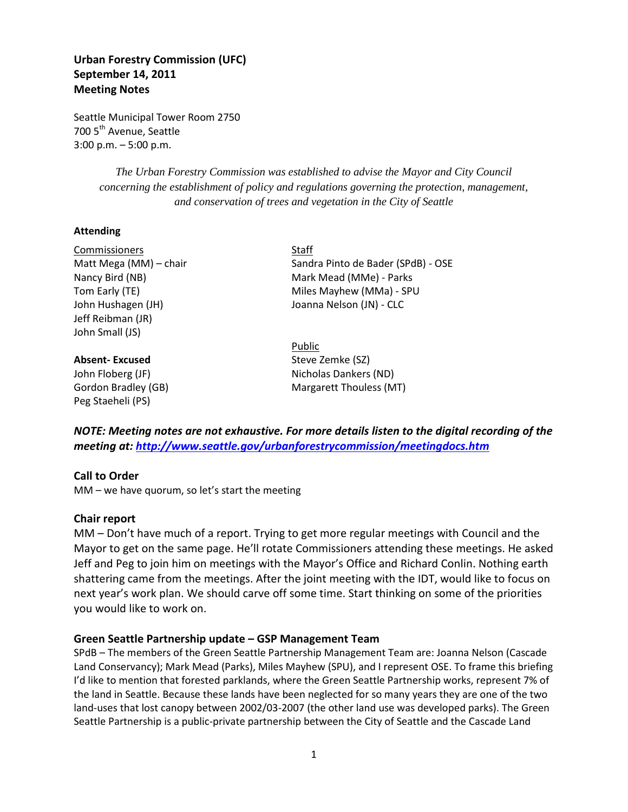# **Urban Forestry Commission (UFC) September 14, 2011 Meeting Notes**

Seattle Municipal Tower Room 2750 700 5<sup>th</sup> Avenue, Seattle 3:00 p.m. – 5:00 p.m.

> *The Urban Forestry Commission was established to advise the Mayor and City Council concerning the establishment of policy and regulations governing the protection, management, and conservation of trees and vegetation in the City of Seattle*

## **Attending**

Commissioners Staff John Hushagen (JH) Joanna Nelson (JN) - CLC Jeff Reibman (JR) John Small (JS)

Peg Staeheli (PS)

Matt Mega (MM) – chair Sandra Pinto de Bader (SPdB) - OSE Nancy Bird (NB) Mark Mead (MMe) - Parks Tom Early (TE) Tom Early (TE) and the Miles Mayhew (MMa) - SPU

Public **Absent-Excused** Steve Zemke (SZ) John Floberg (JF) Nicholas Dankers (ND) Gordon Bradley (GB) Margarett Thouless (MT)

*NOTE: Meeting notes are not exhaustive. For more details listen to the digital recording of the meeting at:<http://www.seattle.gov/urbanforestrycommission/meetingdocs.htm>*

# **Call to Order**

MM – we have quorum, so let's start the meeting

# **Chair report**

MM – Don't have much of a report. Trying to get more regular meetings with Council and the Mayor to get on the same page. He'll rotate Commissioners attending these meetings. He asked Jeff and Peg to join him on meetings with the Mayor's Office and Richard Conlin. Nothing earth shattering came from the meetings. After the joint meeting with the IDT, would like to focus on next year's work plan. We should carve off some time. Start thinking on some of the priorities you would like to work on.

# **Green Seattle Partnership update – GSP Management Team**

SPdB – The members of the Green Seattle Partnership Management Team are: Joanna Nelson (Cascade Land Conservancy); Mark Mead (Parks), Miles Mayhew (SPU), and I represent OSE. To frame this briefing I'd like to mention that forested parklands, where the Green Seattle Partnership works, represent 7% of the land in Seattle. Because these lands have been neglected for so many years they are one of the two land-uses that lost canopy between 2002/03-2007 (the other land use was developed parks). The Green Seattle Partnership is a public-private partnership between the City of Seattle and the Cascade Land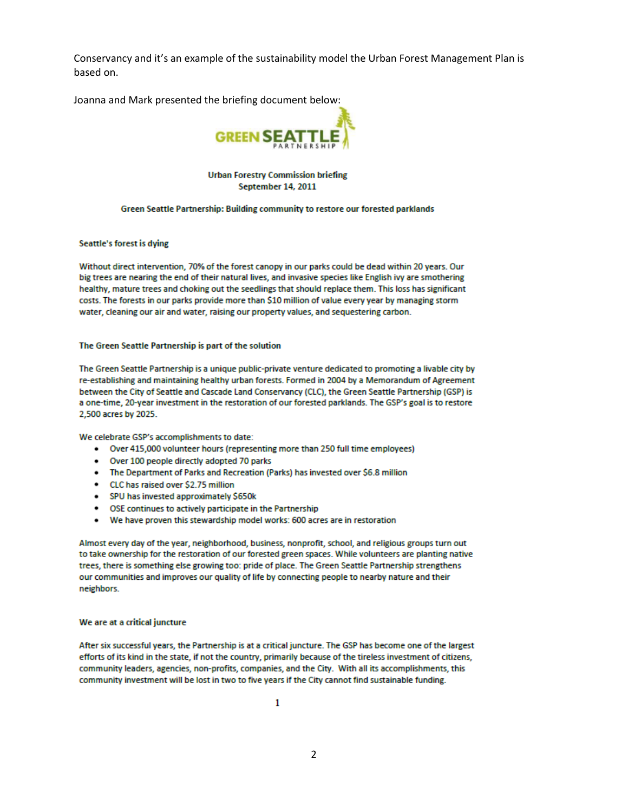Conservancy and it's an example of the sustainability model the Urban Forest Management Plan is based on.

Joanna and Mark presented the briefing document below:



**Urban Forestry Commission briefing September 14, 2011** 

#### Green Seattle Partnership: Building community to restore our forested parklands

### **Seattle's forest is dying**

Without direct intervention, 70% of the forest canopy in our parks could be dead within 20 years. Our big trees are nearing the end of their natural lives, and invasive species like English ivy are smothering healthy, mature trees and choking out the seedlings that should replace them. This loss has significant costs. The forests in our parks provide more than \$10 million of value every year by managing storm water, cleaning our air and water, raising our property values, and sequestering carbon.

#### The Green Seattle Partnership is part of the solution

The Green Seattle Partnership is a unique public-private venture dedicated to promoting a livable city by re-establishing and maintaining healthy urban forests. Formed in 2004 by a Memorandum of Agreement between the City of Seattle and Cascade Land Conservancy (CLC), the Green Seattle Partnership (GSP) is a one-time, 20-year investment in the restoration of our forested parklands. The GSP's goal is to restore 2,500 acres by 2025.

We celebrate GSP's accomplishments to date:

- Over 415,000 volunteer hours (representing more than 250 full time employees)
- . Over 100 people directly adopted 70 parks
- . The Department of Parks and Recreation (Parks) has invested over \$6.8 million
- CLC has raised over \$2.75 million
- SPU has invested approximately \$650k
- OSE continues to actively participate in the Partnership
- . We have proven this stewardship model works: 600 acres are in restoration

Almost every day of the year, neighborhood, business, nonprofit, school, and religious groups turn out to take ownership for the restoration of our forested green spaces. While volunteers are planting native trees, there is something else growing too: pride of place. The Green Seattle Partnership strengthens our communities and improves our quality of life by connecting people to nearby nature and their neighbors.

#### We are at a critical juncture

After six successful years, the Partnership is at a critical juncture. The GSP has become one of the largest efforts of its kind in the state, if not the country, primarily because of the tireless investment of citizens, community leaders, agencies, non-profits, companies, and the City. With all its accomplishments, this community investment will be lost in two to five years if the City cannot find sustainable funding.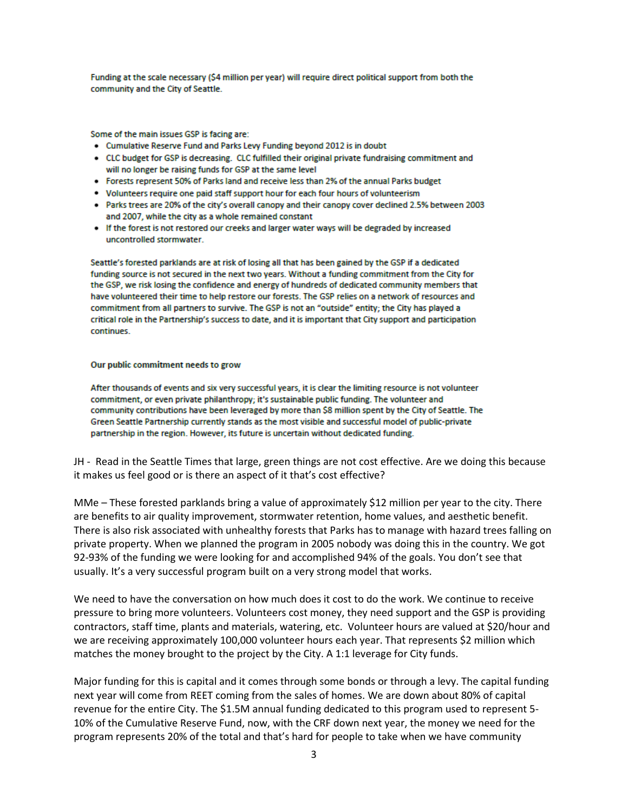Funding at the scale necessary (\$4 million per year) will require direct political support from both the community and the City of Seattle.

Some of the main issues GSP is facing are:

- . Cumulative Reserve Fund and Parks Levy Funding beyond 2012 is in doubt
- CLC budget for GSP is decreasing. CLC fulfilled their original private fundraising commitment and will no longer be raising funds for GSP at the same level
- Forests represent 50% of Parks land and receive less than 2% of the annual Parks budget
- . Volunteers require one paid staff support hour for each four hours of volunteerism
- . Parks trees are 20% of the city's overall canopy and their canopy cover declined 2.5% between 2003 and 2007, while the city as a whole remained constant
- . If the forest is not restored our creeks and larger water ways will be degraded by increased uncontrolled stormwater.

Seattle's forested parklands are at risk of losing all that has been gained by the GSP if a dedicated funding source is not secured in the next two years. Without a funding commitment from the City for the GSP, we risk losing the confidence and energy of hundreds of dedicated community members that have volunteered their time to help restore our forests. The GSP relies on a network of resources and commitment from all partners to survive. The GSP is not an "outside" entity; the City has played a critical role in the Partnership's success to date, and it is important that City support and participation continues.

### Our public commitment needs to grow

After thousands of events and six very successful years, it is clear the limiting resource is not volunteer commitment, or even private philanthropy; it's sustainable public funding. The volunteer and community contributions have been leveraged by more than \$8 million spent by the City of Seattle. The Green Seattle Partnership currently stands as the most visible and successful model of public-private partnership in the region. However, its future is uncertain without dedicated funding.

JH - Read in the Seattle Times that large, green things are not cost effective. Are we doing this because it makes us feel good or is there an aspect of it that's cost effective?

MMe – These forested parklands bring a value of approximately \$12 million per year to the city. There are benefits to air quality improvement, stormwater retention, home values, and aesthetic benefit. There is also risk associated with unhealthy forests that Parks has to manage with hazard trees falling on private property. When we planned the program in 2005 nobody was doing this in the country. We got 92-93% of the funding we were looking for and accomplished 94% of the goals. You don't see that usually. It's a very successful program built on a very strong model that works.

We need to have the conversation on how much does it cost to do the work. We continue to receive pressure to bring more volunteers. Volunteers cost money, they need support and the GSP is providing contractors, staff time, plants and materials, watering, etc. Volunteer hours are valued at \$20/hour and we are receiving approximately 100,000 volunteer hours each year. That represents \$2 million which matches the money brought to the project by the City. A 1:1 leverage for City funds.

Major funding for this is capital and it comes through some bonds or through a levy. The capital funding next year will come from REET coming from the sales of homes. We are down about 80% of capital revenue for the entire City. The \$1.5M annual funding dedicated to this program used to represent 5- 10% of the Cumulative Reserve Fund, now, with the CRF down next year, the money we need for the program represents 20% of the total and that's hard for people to take when we have community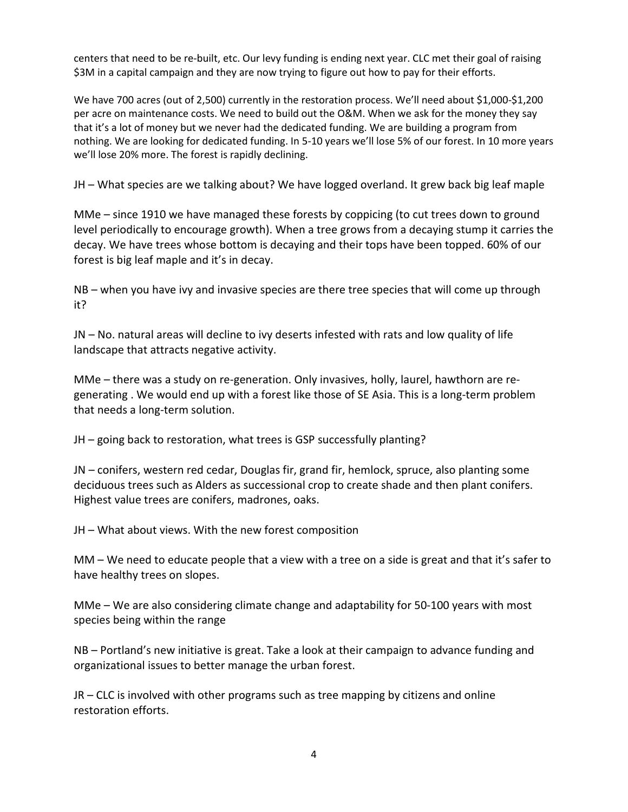centers that need to be re-built, etc. Our levy funding is ending next year. CLC met their goal of raising \$3M in a capital campaign and they are now trying to figure out how to pay for their efforts.

We have 700 acres (out of 2,500) currently in the restoration process. We'll need about \$1,000-\$1,200 per acre on maintenance costs. We need to build out the O&M. When we ask for the money they say that it's a lot of money but we never had the dedicated funding. We are building a program from nothing. We are looking for dedicated funding. In 5-10 years we'll lose 5% of our forest. In 10 more years we'll lose 20% more. The forest is rapidly declining.

JH – What species are we talking about? We have logged overland. It grew back big leaf maple

MMe – since 1910 we have managed these forests by coppicing (to cut trees down to ground level periodically to encourage growth). When a tree grows from a decaying stump it carries the decay. We have trees whose bottom is decaying and their tops have been topped. 60% of our forest is big leaf maple and it's in decay.

NB – when you have ivy and invasive species are there tree species that will come up through it?

JN – No. natural areas will decline to ivy deserts infested with rats and low quality of life landscape that attracts negative activity.

MMe – there was a study on re-generation. Only invasives, holly, laurel, hawthorn are regenerating . We would end up with a forest like those of SE Asia. This is a long-term problem that needs a long-term solution.

JH – going back to restoration, what trees is GSP successfully planting?

JN – conifers, western red cedar, Douglas fir, grand fir, hemlock, spruce, also planting some deciduous trees such as Alders as successional crop to create shade and then plant conifers. Highest value trees are conifers, madrones, oaks.

JH – What about views. With the new forest composition

MM – We need to educate people that a view with a tree on a side is great and that it's safer to have healthy trees on slopes.

MMe – We are also considering climate change and adaptability for 50-100 years with most species being within the range

NB – Portland's new initiative is great. Take a look at their campaign to advance funding and organizational issues to better manage the urban forest.

JR – CLC is involved with other programs such as tree mapping by citizens and online restoration efforts.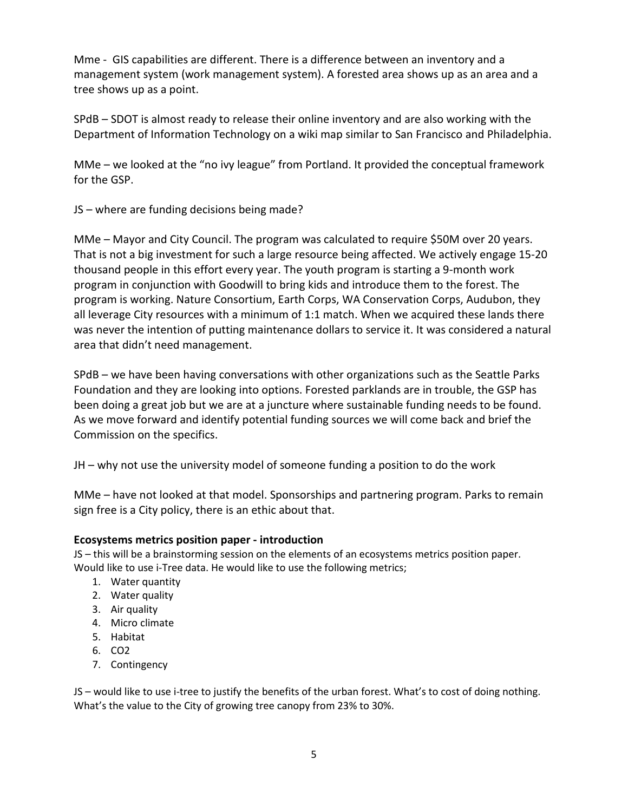Mme - GIS capabilities are different. There is a difference between an inventory and a management system (work management system). A forested area shows up as an area and a tree shows up as a point.

SPdB – SDOT is almost ready to release their online inventory and are also working with the Department of Information Technology on a wiki map similar to San Francisco and Philadelphia.

MMe – we looked at the "no ivy league" from Portland. It provided the conceptual framework for the GSP.

JS – where are funding decisions being made?

MMe – Mayor and City Council. The program was calculated to require \$50M over 20 years. That is not a big investment for such a large resource being affected. We actively engage 15-20 thousand people in this effort every year. The youth program is starting a 9-month work program in conjunction with Goodwill to bring kids and introduce them to the forest. The program is working. Nature Consortium, Earth Corps, WA Conservation Corps, Audubon, they all leverage City resources with a minimum of 1:1 match. When we acquired these lands there was never the intention of putting maintenance dollars to service it. It was considered a natural area that didn't need management.

SPdB – we have been having conversations with other organizations such as the Seattle Parks Foundation and they are looking into options. Forested parklands are in trouble, the GSP has been doing a great job but we are at a juncture where sustainable funding needs to be found. As we move forward and identify potential funding sources we will come back and brief the Commission on the specifics.

JH – why not use the university model of someone funding a position to do the work

MMe – have not looked at that model. Sponsorships and partnering program. Parks to remain sign free is a City policy, there is an ethic about that.

# **Ecosystems metrics position paper - introduction**

JS – this will be a brainstorming session on the elements of an ecosystems metrics position paper. Would like to use i-Tree data. He would like to use the following metrics;

- 1. Water quantity
- 2. Water quality
- 3. Air quality
- 4. Micro climate
- 5. Habitat
- 6. CO2
- 7. Contingency

JS – would like to use i-tree to justify the benefits of the urban forest. What's to cost of doing nothing. What's the value to the City of growing tree canopy from 23% to 30%.